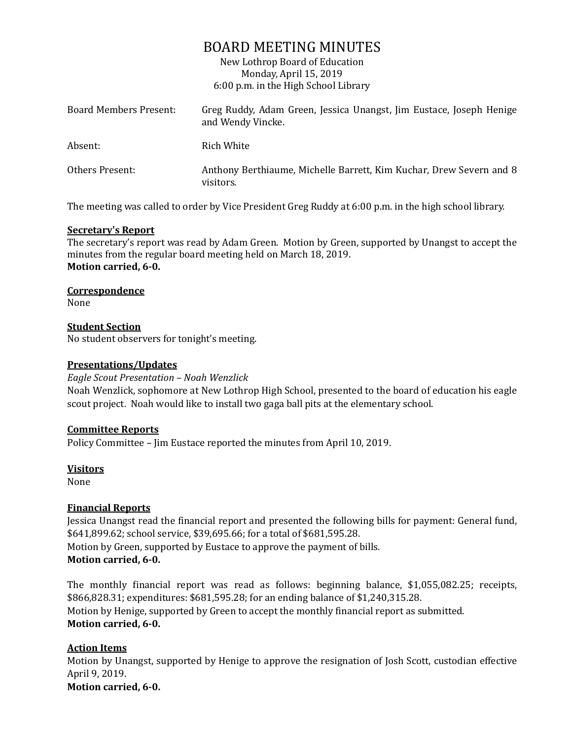# BOARD MEETING MINUTES

New Lothrop Board of Education Monday, April 15, 2019 6:00 p.m. in the High School Library

| Board Members Present: | Greg Ruddy, Adam Green, Jessica Unangst, Jim Eustace, Joseph Henige<br>and Wendy Vincke. |
|------------------------|------------------------------------------------------------------------------------------|
| Absent:                | Rich White                                                                               |
| Others Present:        | Anthony Berthiaume, Michelle Barrett, Kim Kuchar, Drew Severn and 8<br>visitors.         |

The meeting was called to order by Vice President Greg Ruddy at 6:00 p.m. in the high school library.

#### **Secretary's Report**

The secretary's report was read by Adam Green. Motion by Green, supported by Unangst to accept the minutes from the regular board meeting held on March 18, 2019. **Motion carried, 6-0.**

#### **Correspondence**

None

#### **Student Section**

No student observers for tonight's meeting.

# **Presentations/Updates**

*Eagle Scout Presentation – Noah Wenzlick* Noah Wenzlick, sophomore at New Lothrop High School, presented to the board of education his eagle scout project. Noah would like to install two gaga ball pits at the elementary school.

# **Committee Reports**

Policy Committee – Jim Eustace reported the minutes from April 10, 2019.

#### **Visitors**

None

# **Financial Reports**

Jessica Unangst read the financial report and presented the following bills for payment: General fund, \$641,899.62; school service, \$39,695.66; for a total of \$681,595.28. Motion by Green, supported by Eustace to approve the payment of bills. **Motion carried, 6-0.**

The monthly financial report was read as follows: beginning balance, \$1,055,082.25; receipts, \$866,828.31; expenditures: \$681,595.28; for an ending balance of \$1,240,315.28. Motion by Henige, supported by Green to accept the monthly financial report as submitted. **Motion carried, 6-0.**

# **Action Items**

Motion by Unangst, supported by Henige to approve the resignation of Josh Scott, custodian effective April 9, 2019. **Motion carried, 6-0.**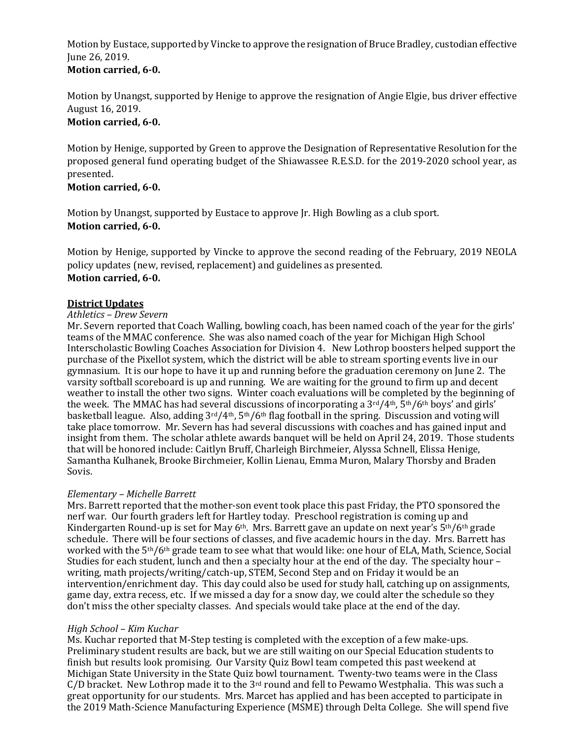Motion by Eustace, supported by Vincke to approve the resignation of Bruce Bradley, custodian effective June 26, 2019.

# **Motion carried, 6-0.**

Motion by Unangst, supported by Henige to approve the resignation of Angie Elgie, bus driver effective August 16, 2019.

# **Motion carried, 6-0.**

Motion by Henige, supported by Green to approve the Designation of Representative Resolution for the proposed general fund operating budget of the Shiawassee R.E.S.D. for the 2019-2020 school year, as presented.

# **Motion carried, 6-0.**

Motion by Unangst, supported by Eustace to approve Jr. High Bowling as a club sport. **Motion carried, 6-0.**

Motion by Henige, supported by Vincke to approve the second reading of the February, 2019 NEOLA policy updates (new, revised, replacement) and guidelines as presented. **Motion carried, 6-0.**

# **District Updates**

#### *Athletics – Drew Severn*

Mr. Severn reported that Coach Walling, bowling coach, has been named coach of the year for the girls' teams of the MMAC conference. She was also named coach of the year for Michigan High School Interscholastic Bowling Coaches Association for Division 4. New Lothrop boosters helped support the purchase of the Pixellot system, which the district will be able to stream sporting events live in our gymnasium. It is our hope to have it up and running before the graduation ceremony on June 2. The varsity softball scoreboard is up and running. We are waiting for the ground to firm up and decent weather to install the other two signs. Winter coach evaluations will be completed by the beginning of the week. The MMAC has had several discussions of incorporating a 3rd/4th, 5th/6th boys' and girls' basketball league. Also, adding 3rd/4th, 5th/6th flag football in the spring. Discussion and voting will take place tomorrow. Mr. Severn has had several discussions with coaches and has gained input and insight from them. The scholar athlete awards banquet will be held on April 24, 2019. Those students that will be honored include: Caitlyn Bruff, Charleigh Birchmeier, Alyssa Schnell, Elissa Henige, Samantha Kulhanek, Brooke Birchmeier, Kollin Lienau, Emma Muron, Malary Thorsby and Braden Sovis.

# *Elementary – Michelle Barrett*

Mrs. Barrett reported that the mother-son event took place this past Friday, the PTO sponsored the nerf war. Our fourth graders left for Hartley today. Preschool registration is coming up and Kindergarten Round-up is set for May  $6<sup>th</sup>$ . Mrs. Barrett gave an update on next year's  $5<sup>th</sup>/6<sup>th</sup>$  grade schedule. There will be four sections of classes, and five academic hours in the day. Mrs. Barrett has worked with the 5<sup>th</sup>/6<sup>th</sup> grade team to see what that would like: one hour of ELA, Math, Science, Social Studies for each student, lunch and then a specialty hour at the end of the day. The specialty hour – writing, math projects/writing/catch-up, STEM, Second Step and on Friday it would be an intervention/enrichment day. This day could also be used for study hall, catching up on assignments, game day, extra recess, etc. If we missed a day for a snow day, we could alter the schedule so they don't miss the other specialty classes. And specials would take place at the end of the day.

# *High School – Kim Kuchar*

Ms. Kuchar reported that M-Step testing is completed with the exception of a few make-ups. Preliminary student results are back, but we are still waiting on our Special Education students to finish but results look promising. Our Varsity Quiz Bowl team competed this past weekend at Michigan State University in the State Quiz bowl tournament. Twenty-two teams were in the Class  $C/D$  bracket. New Lothrop made it to the 3<sup>rd</sup> round and fell to Pewamo Westphalia. This was such a great opportunity for our students. Mrs. Marcet has applied and has been accepted to participate in the 2019 Math-Science Manufacturing Experience (MSME) through Delta College. She will spend five